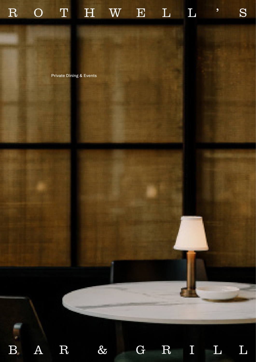

Private Dining & Events



 $B_{-}$ 

 $A \quad R \quad 8$ 

G R I L L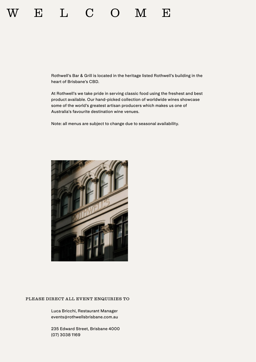## E L C O M E

Rothwell's Bar & Grill is located in the heritage listed Rothwell's building in the heart of Brisbane's CBD.

At Rothwell's we take pride in serving classic food using the freshest and best product available. Our hand-picked collection of worldwide wines showcase some of the world's greatest artisan producers which makes us one of Australia's favourite destination wine venues.

Note: all menus are subject to change due to seasonal availability.



#### PLEASE DIRECT ALL EVENT ENQUIRIES TO

Luca Bricchi, Restaurant Manager events@rothwellsbrisbane.com.au

235 Edward Street, Brisbane 4000 (07) 3038 1169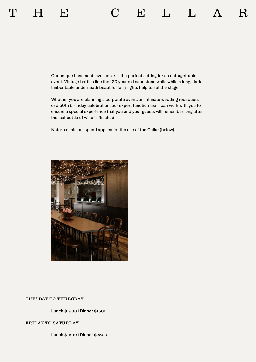Our unique basement level cellar is the perfect setting for an unforgettable event. Vintage bottles line the 120 year old sandstone walls while a long, dark timber table underneath beautiful fairy lights help to set the stage.

Whether you are planning a corporate event, an intimate wedding reception, or a 50th birthday celebration, our expert function team can work with you to ensure a special experience that you and your guests will remember long after the last bottle of wine is finished.

Note: a minimum spend applies for the use of the Cellar (below).



#### TUESDAY TO THURSDAY

Lunch \$1500 | Dinner \$1500

#### FRIDAY TO SATURDAY

Lunch \$1500 | Dinner \$2500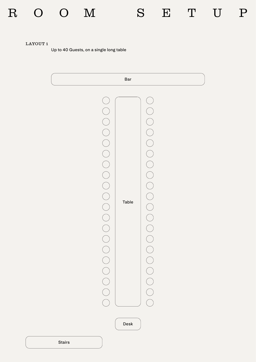## R O O M S E T U P



### LAYOUT 1

Up to 40 Guests, on a single long table



Stairs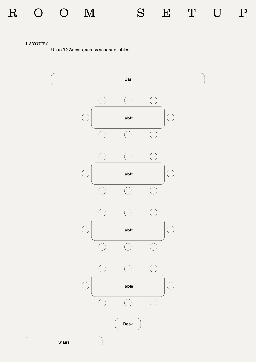## R O O M S E T U P

### LAYOUT 2

Up to 32 Guests, across separate tables

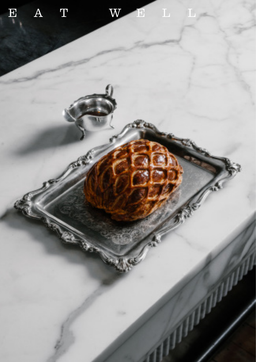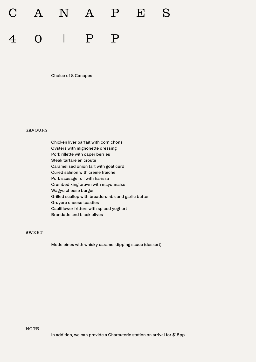# 4 0 | P P C A N A P E S

Choice of 8 Canapes

#### SAVOURY

Chicken liver parfait with cornichons Oysters with mignonette dressing Pork rillette with caper berries Steak tartare en croute Caramelised onion tart with goat curd Cured salmon with creme fraiche Pork sausage roll with harissa Crumbed king prawn with mayonnaise Wagyu cheese burger Grilled scallop with breadcrumbs and garlic butter Gruyere cheese toasties Cauliflower fritters with spiced yoghurt Brandade and black olives

#### SWEET

Medeleines with whisky caramel dipping sauce (dessert)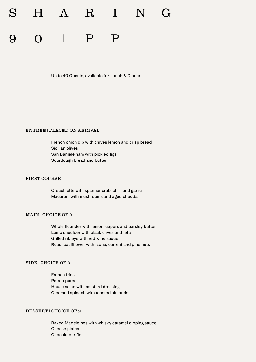# 0 | P P H A R I N

Up to 40 Guests, available for Lunch & Dinner

#### ENTRÉE | PLACED ON ARRIVAL

French onion dip with chives lemon and crisp bread Sicilian olives San Daniele ham with pickled figs Sourdough bread and butter

#### FIRST COURSE

Orecchiette with spanner crab, chilli and garlic Macaroni with mushrooms and aged cheddar

#### MAIN | CHOICE OF 2

Whole flounder with lemon, capers and parsley butter Lamb shoulder with black olives and feta Grilled rib eye with red wine sauce Roast cauliflower with labne, current and pine nuts

#### SIDE | CHOICE OF 2

French fries Potato puree House salad with mustard dressing Creamed spinach with toasted almonds

#### DESSERT | CHOICE OF 2

Baked Madeleines with whisky caramel dipping sauce Cheese plates Chocolate trifle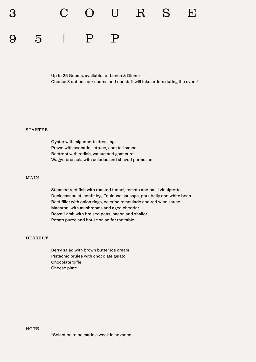3 C O U R S E

## 9 5 | P P

Up to 25 Guests, available for Lunch & Dinner Choose 3 options per course and our staff will take orders during the event\*

#### STARTER

Oyster with mignonette dressing Prawn with avocado, lettuce, cocktail sauce Beetroot with radish, walnut and goat curd Wagyu bresaola with celeriac and shaved parmesan

#### MAIN

Steamed reef fish with roasted fennel, tomato and basil vinaigrette Duck cassoulet, confit leg, Toulouse sausage, pork belly and white bean Beef fillet with onion rings, celeriac remoulade and red wine sauce Macaroni with mushrooms and aged cheddar Roast Lamb with braised peas, bacon and shallot Potato puree and house salad for the table

#### DESSERT

Berry salad with brown butter ice cream Pistachio brulee with chocolate gelato Chocolate trifle Cheese plate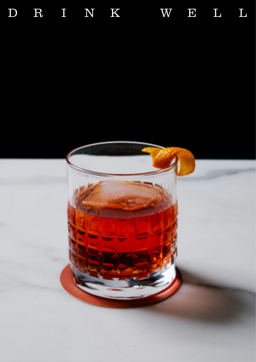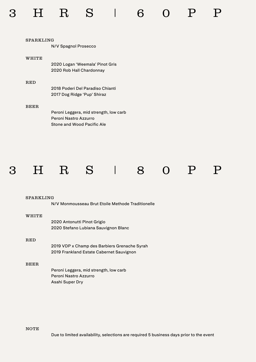| SPARKLING |                                        |
|-----------|----------------------------------------|
|           | N/V Spagnol Prosecco                   |
| WHITE     |                                        |
|           | 2020 Logan 'Weemala' Pinot Gris        |
|           | 2020 Rob Hall Chardonnay               |
| RED       |                                        |
|           | 2018 Poderi Del Paradiso Chianti       |
|           | 2017 Dog Ridge 'Pup' Shiraz            |
| BEER.     |                                        |
|           | Peroni Leggera, mid strength, low carb |
|           | Peroni Nastro Azzurro                  |
|           | Stone and Wood Pacific Ale             |



#### SPARKLING

N/V Monmousseau Brut Etoile Methode Traditionelle

#### WHITE

| 2020 Antonutti Pinot Grigio          |
|--------------------------------------|
| 2020 Stefano Lubiana Sauvignon Blanc |

#### RED

2019 VDP x Champ des Barbiers Grenache Syrah 2019 Frankland Estate Cabernet Sauvignon

#### BEER

Peroni Leggera, mid strength, low carb Peroni Nastro Azzurro Asahi Super Dry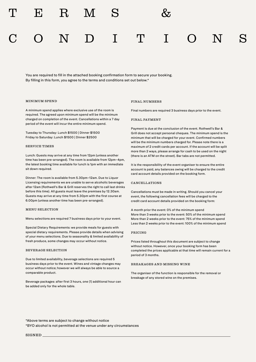C O N D I T I O N S

You are required to fill in the attached booking confirmation form to secure your booking. By filling in this form, you agree to the terms and conditions set out below.\*

#### MINIMUM SPEND

A minimum spend applies where exclusive use of the room is required. The agreed upon minimum spend will be the minimum charged on completion of the event. Cancellations within a 7 day period of the event will incur the entire minimum spend.

Tuesday to Thursday: Lunch \$1500 | Dinner \$1500 Friday to Saturday: Lunch \$1500 | Dinner \$2500

#### SERVICE TIMES

Lunch: Guests may arrive at any time from 12pm (unless another time has been pre-arranged). The room is available from 12pm–4pm, the latest booking time available for lunch is 1pm with an immediate sit down required.

Dinner: The room is available from 5.30pm–12am. Due to Liquor Licensing requirements we are unable to serve alcoholic beverages after 12am (Rothwell's Bar & Grill reserves the right to call last drinks before this time). All guests must leave the premises by 12.30am. Guests may arrive at any time from 5.30pm with the first course at 6.00pm (unless another time has been pre-arranged).

#### MENU SELECTION

Menu selections are required 7 business days prior to your event.

Special Dietary Requirements: we provide meals for guests with special dietary requirements. Please provide details when advising of your menu selections. Due to seasonality & limited availability of fresh produce, some changes may occur without notice.

#### BEVERAGE SELECTION

Due to limited availability, beverage selections are required 5 business days prior to the event. Wines and vintage changes may occur without notice; however we will always be able to source a comparable product.

Beverage packages: after first 3 hours, one (1) additional hour can be added only for the whole table.

#### FINAL NUMBERS

Final numbers are required 3 business days prior to the event.

#### FINAL PAYMENT

Payment is due at the conclusion of the event. Rothwell's Bar & Grill does not accept personal cheques. The minimum spend is the minimum that will be charged for your event. Confirmed numbers will be the minimum numbers charged for. Please note there is a maximum of 2 credit cards per account. If the account will be split more than 2 ways, please arrange for cash to be used on the night (there is an ATM on the street). Bar tabs are not permitted.

It is the responsibility of the event organiser to ensure the entire account is paid, any balances owing will be charged to the credit card account details provided on the booking form.

#### CANCELLATIONS

Cancellations must be made in writing. Should you cancel your event, the following cancellation fees will be charged to the credit card account details provided on the booking form:

A month prior the event: 0% of the minimum spend More than 3 weeks prior to the event: 50% of the minimum spend More than 2 weeks prior to the event: 75% of the minimum spend Less than 2 weeks prior to the event: 100% of the minimum spend

#### PRICING

Prices listed throughout this document are subject to change without notice. However, once your booking form has been completed the prices applicable at that time will remain current for a period of 3 months.

#### BREAKAGES AND MISSING WINE

The organiser of the function is responsible for the removal or breakage of any stored wine on the premises.

\*Above terms are subject to change without notice \*BYO alcohol is not permitted at the venue under any circumstances